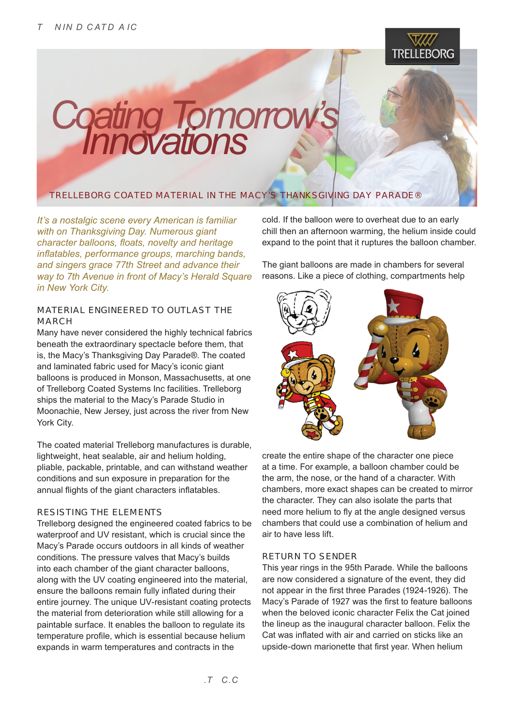

**Coating Tomorrow's Innovations TRELLEBORG COATED MATERIAL IN THE MACY'S THANKSGIVING DAY PARADE®** 

*It's a nostalgic scene every American is familiar with on Thanksgiving Day. Numerous giant character balloons, floats, novelty and heritage inflatables, performance groups, marching bands, and singers grace 77th Street and advance their way to 7th Avenue in front of Macy's Herald Square in New York City.*

### **MATERIAL ENGINEERED TO OUTLAST THE MARCH**

Many have never considered the highly technical fabrics beneath the extraordinary spectacle before them, that is, the Macy's Thanksgiving Day Parade®. The coated and laminated fabric used for Macy's iconic giant balloons is produced in Monson, Massachusetts, at one of Trelleborg Coated Systems Inc facilities. Trelleborg ships the material to the Macy's Parade Studio in Moonachie, New Jersey, just across the river from New York City.

The coated material Trelleborg manufactures is durable, lightweight, heat sealable, air and helium holding, pliable, packable, printable, and can withstand weather conditions and sun exposure in preparation for the annual flights of the giant characters inflatables.

### **RESISTING THE ELEMENTS**

Trelleborg designed the engineered coated fabrics to be waterproof and UV resistant, which is crucial since the Macy's Parade occurs outdoors in all kinds of weather conditions. The pressure valves that Macy's builds into each chamber of the giant character balloons, along with the UV coating engineered into the material, ensure the balloons remain fully inflated during their entire journey. The unique UV-resistant coating protects the material from deterioration while still allowing for a paintable surface. It enables the balloon to regulate its temperature profile, which is essential because helium expands in warm temperatures and contracts in the

cold. If the balloon were to overheat due to an early chill then an afternoon warming, the helium inside could expand to the point that it ruptures the balloon chamber.

The giant balloons are made in chambers for several reasons. Like a piece of clothing, compartments help



create the entire shape of the character one piece at a time. For example, a balloon chamber could be the arm, the nose, or the hand of a character. With chambers, more exact shapes can be created to mirror the character. They can also isolate the parts that need more helium to fly at the angle designed versus chambers that could use a combination of helium and air to have less lift.

### **RETURN TO SENDER**

This year rings in the 95th Parade. While the balloons are now considered a signature of the event, they did not appear in the first three Parades (1924-1926). The Macy's Parade of 1927 was the first to feature balloons when the beloved iconic character Felix the Cat joined the lineup as the inaugural character balloon. Felix the Cat was inflated with air and carried on sticks like an upside-down marionette that first year. When helium